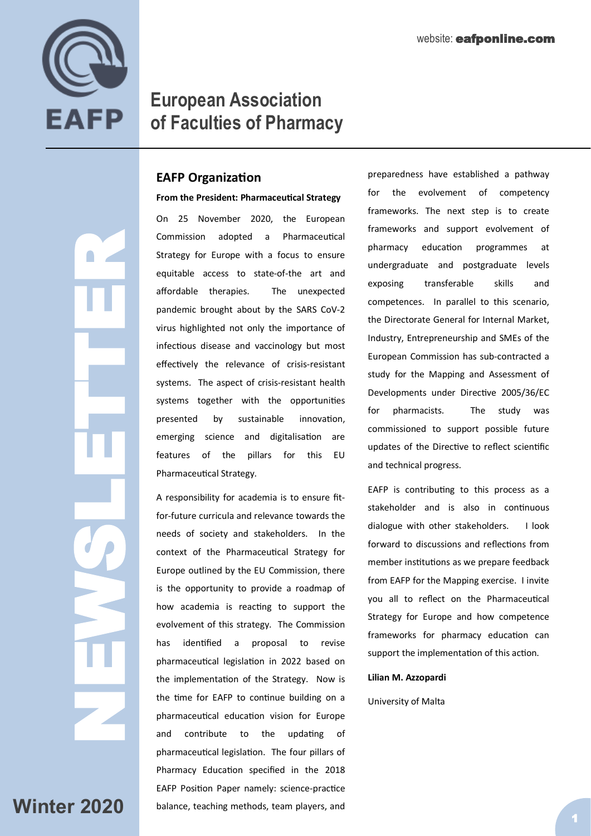

 $\blacksquare$ 

# **European Association of Faculties of Pharmacy**

# **EAFP Organization**

NEWSLETTER<br>Newsletter **From the President: Pharmaceutical Strategy**  On 25 November 2020, the European Commission adopted a Pharmaceutical Strategy for Europe with a focus to ensure equitable access to state-of-the art and affordable therapies. The unexpected pandemic brought about by the SARS CoV-2 virus highlighted not only the importance of infectious disease and vaccinology but most effectively the relevance of crisis-resistant systems. The aspect of crisis-resistant health systems together with the opportunities presented by sustainable innovation, emerging science and digitalisation are features of the pillars for this EU Pharmaceutical Strategy. A responsibility for academia is to ensure fit-

for-future curricula and relevance towards the needs of society and stakeholders. In the context of the Pharmaceutical Strategy for Europe outlined by the EU Commission, there is the opportunity to provide a roadmap of how academia is reacting to support the evolvement of this strategy. The Commission has identified a proposal to revise pharmaceutical legislation in 2022 based on the implementation of the Strategy. Now is the time for EAFP to continue building on a pharmaceutical education vision for Europe and contribute to the updating of pharmaceutical legislation. The four pillars of Pharmacy Education specified in the 2018 EAFP Position Paper namely: science-practice balance, teaching methods, team players, and

preparedness have established a pathway for the evolvement of competency frameworks. The next step is to create frameworks and support evolvement of pharmacy education programmes at undergraduate and postgraduate levels exposing transferable skills and competences. In parallel to this scenario, the Directorate General for Internal Market, Industry, Entrepreneurship and SMEs of the European Commission has sub-contracted a study for the Mapping and Assessment of Developments under Directive 2005/36/EC for pharmacists. The study was commissioned to support possible future updates of the Directive to reflect scientific and technical progress.

EAFP is contributing to this process as a stakeholder and is also in continuous dialogue with other stakeholders. I look forward to discussions and reflections from member institutions as we prepare feedback from EAFP for the Mapping exercise. I invite you all to reflect on the Pharmaceutical Strategy for Europe and how competence frameworks for pharmacy education can support the implementation of this action.

#### **Lilian M. Azzopardi**

University of Malta

**Winter 2020**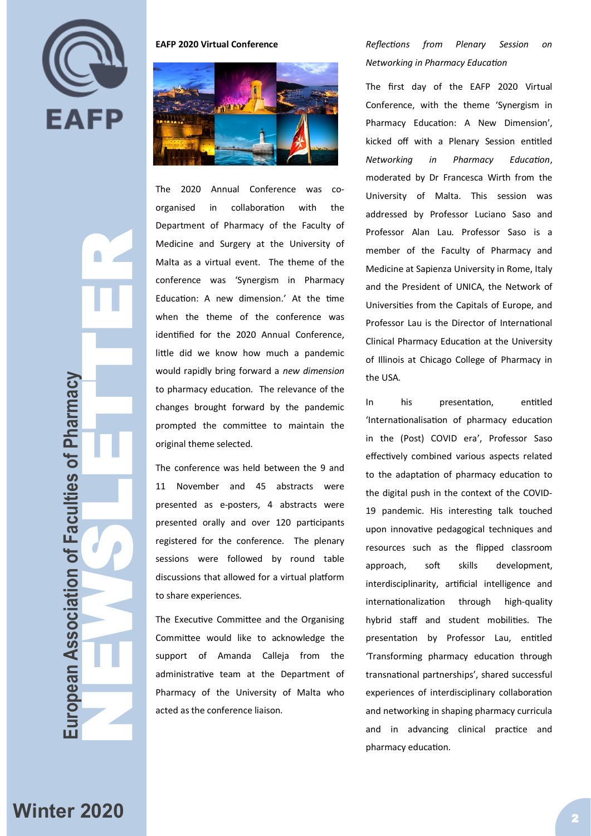

**European Association of Faculties of Pharmacy NEWSLETTER (NEWSLETTER SCRIPT)**  $\blacksquare$ uropean Association of Faculties of Pharmacy

**EAFP 2020 Virtual Conference**



The 2020 Annual Conference was coorganised in collaboration with the Department of Pharmacy of the Faculty of Medicine and Surgery at the University of Malta as a virtual event. The theme of the conference was 'Synergism in Pharmacy Education: A new dimension.' At the time when the theme of the conference was identified for the 2020 Annual Conference, little did we know how much a pandemic would rapidly bring forward a *new dimension* to pharmacy education. The relevance of the changes brought forward by the pandemic prompted the committee to maintain the original theme selected.

The conference was held between the 9 and 11 November and 45 abstracts were presented as e-posters, 4 abstracts were presented orally and over 120 participants registered for the conference. The plenary sessions were followed by round table discussions that allowed for a virtual platform to share experiences.

The Executive Committee and the Organising Committee would like to acknowledge the support of Amanda Calleja from the administrative team at the Department of Pharmacy of the University of Malta who acted as the conference liaison.

*Reflections from Plenary Session on Networking in Pharmacy Education*

The first day of the EAFP 2020 Virtual Conference, with the theme 'Synergism in Pharmacy Education: A New Dimension', kicked off with a Plenary Session entitled *Networking in Pharmacy Education*, moderated by Dr Francesca Wirth from the University of Malta. This session was addressed by Professor Luciano Saso and Professor Alan Lau. Professor Saso is a member of the Faculty of Pharmacy and Medicine at Sapienza University in Rome, Italy and the President of UNICA, the Network of Universities from the Capitals of Europe, and Professor Lau is the Director of International Clinical Pharmacy Education at the University of Illinois at Chicago College of Pharmacy in the USA.

In his presentation, entitled 'Internationalisation of pharmacy education in the (Post) COVID era', Professor Saso effectively combined various aspects related to the adaptation of pharmacy education to the digital push in the context of the COVID-19 pandemic. His interesting talk touched upon innovative pedagogical techniques and resources such as the flipped classroom approach, soft skills development, interdisciplinarity, artificial intelligence and internationalization through high-quality hybrid staff and student mobilities. The presentation by Professor Lau, entitled 'Transforming pharmacy education through transnational partnerships', shared successful experiences of interdisciplinary collaboration and networking in shaping pharmacy curricula and in advancing clinical practice and pharmacy education.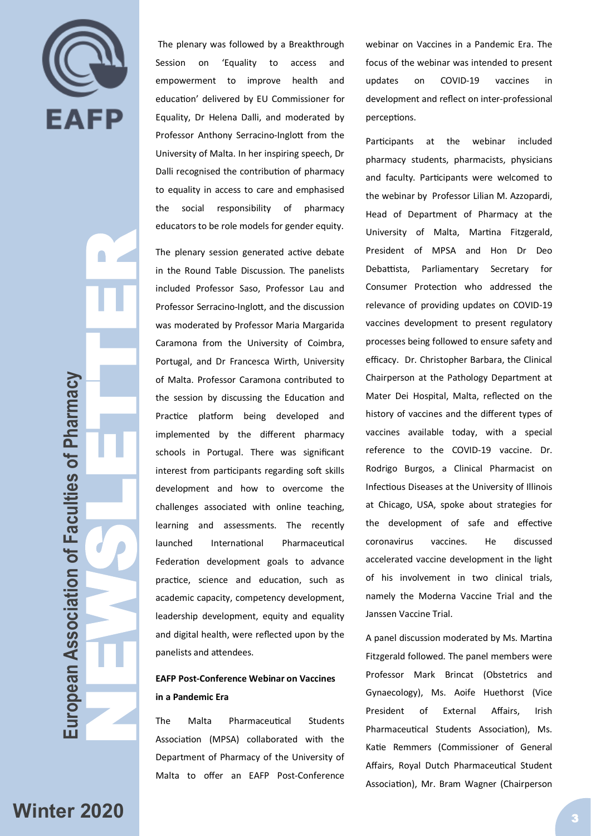

NEWSLETTER  $\bigcap$ European Association of Faculties of Pharmacy **European Association of Faculties of Pharmacy**

The plenary was followed by a Breakthrough Session on 'Equality to access and empowerment to improve health and education' delivered by EU Commissioner for Equality, Dr Helena Dalli, and moderated by Professor Anthony Serracino-Inglott from the University of Malta. In her inspiring speech, Dr Dalli recognised the contribution of pharmacy to equality in access to care and emphasised the social responsibility of pharmacy educators to be role models for gender equity.

The plenary session generated active debate in the Round Table Discussion. The panelists included Professor Saso, Professor Lau and Professor Serracino-Inglott, and the discussion was moderated by Professor Maria Margarida Caramona from the University of Coimbra, Portugal, and Dr Francesca Wirth, University of Malta. Professor Caramona contributed to the session by discussing the Education and Practice platform being developed and implemented by the different pharmacy schools in Portugal. There was significant interest from participants regarding soft skills development and how to overcome the challenges associated with online teaching, learning and assessments. The recently launched International Pharmaceutical Federation development goals to advance practice, science and education, such as academic capacity, competency development, leadership development, equity and equality and digital health, were reflected upon by the panelists and attendees.

# **EAFP Post-Conference Webinar on Vaccines in a Pandemic Era**

The Malta Pharmaceutical Students Association (MPSA) collaborated with the Department of Pharmacy of the University of Malta to offer an EAFP Post-Conference webinar on Vaccines in a Pandemic Era. The focus of the webinar was intended to present updates on COVID-19 vaccines in development and reflect on inter-professional perceptions.

Participants at the webinar included pharmacy students, pharmacists, physicians and faculty. Participants were welcomed to the webinar by Professor Lilian M. Azzopardi, Head of Department of Pharmacy at the University of Malta, Martina Fitzgerald, President of MPSA and Hon Dr Deo Debattista, Parliamentary Secretary for Consumer Protection who addressed the relevance of providing updates on COVID-19 vaccines development to present regulatory processes being followed to ensure safety and efficacy. Dr. Christopher Barbara, the Clinical Chairperson at the Pathology Department at Mater Dei Hospital, Malta, reflected on the history of vaccines and the different types of vaccines available today, with a special reference to the COVID-19 vaccine. Dr. Rodrigo Burgos, a Clinical Pharmacist on Infectious Diseases at the University of Illinois at Chicago, USA, spoke about strategies for the development of safe and effective coronavirus vaccines. He discussed accelerated vaccine development in the light of his involvement in two clinical trials, namely the Moderna Vaccine Trial and the Janssen Vaccine Trial.

A panel discussion moderated by Ms. Martina Fitzgerald followed. The panel members were Professor Mark Brincat (Obstetrics and Gynaecology), Ms. Aoife Huethorst (Vice President of External Affairs, Irish Pharmaceutical Students Association), Ms. Katie Remmers (Commissioner of General Affairs, Royal Dutch Pharmaceutical Student Association), Mr. Bram Wagner (Chairperson

**Winter 2020** 3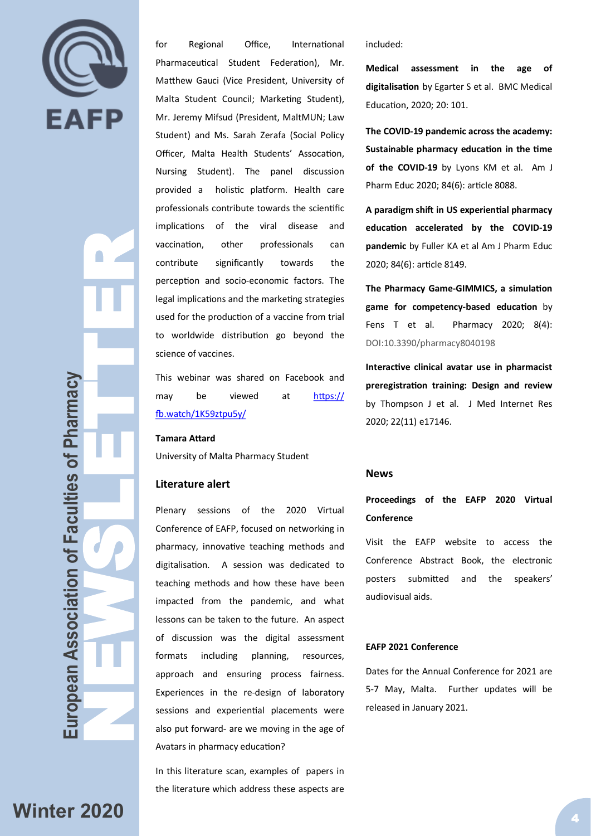

NEWSLETTER<br>NEWSLETTER<br>NEWSLETTER uropean Association of Faculties of Pharmacy **European Association of Faculties of Pharmacy**

for Regional Office, International Pharmaceutical Student Federation), Mr. Matthew Gauci (Vice President, University of Malta Student Council; Marketing Student), Mr. Jeremy Mifsud (President, MaltMUN; Law Student) and Ms. Sarah Zerafa (Social Policy Officer, Malta Health Students' Assocation, Nursing Student). The panel discussion provided a holistic platform. Health care professionals contribute towards the scientific implications of the viral disease and vaccination, other professionals can contribute significantly towards the perception and socio-economic factors. The legal implications and the marketing strategies used for the production of a vaccine from trial to worldwide distribution go beyond the science of vaccines.

This webinar was shared on Facebook and may be viewed at [https://](https://fb.watch/1K59ztpu5y/) [fb.watch/1K59ztpu5y/](https://fb.watch/1K59ztpu5y/)

#### **Tamara Attard**

University of Malta Pharmacy Student

#### **Literature alert**

Plenary sessions of the 2020 Virtual Conference of EAFP, focused on networking in pharmacy, innovative teaching methods and digitalisation. A session was dedicated to teaching methods and how these have been impacted from the pandemic, and what lessons can be taken to the future. An aspect of discussion was the digital assessment formats including planning, resources, approach and ensuring process fairness. Experiences in the re-design of laboratory sessions and experiential placements were also put forward- are we moving in the age of Avatars in pharmacy education?

In this literature scan, examples of papers in the literature which address these aspects are

included:

**Medical assessment in the age of digitalisation** by Egarter S et al. BMC Medical Education, 2020; 20: 101.

**The COVID-19 pandemic across the academy: Sustainable pharmacy education in the time of the COVID-19** by Lyons KM et al. Am J Pharm Educ 2020; 84(6): article 8088.

**A paradigm shift in US experiential pharmacy education accelerated by the COVID-19 pandemic** by Fuller KA et al Am J Pharm Educ 2020; 84(6): article 8149.

**The Pharmacy Game-GIMMICS, a simulation game for competency-based education** by Fens T et al. Pharmacy 2020; 8(4): DOI:10.3390/pharmacy8040198

**Interactive clinical avatar use in pharmacist preregistration training: Design and review** by Thompson J et al. J Med Internet Res 2020; 22(11) e17146.

#### **News**

# **Proceedings of the EAFP 2020 Virtual Conference**

Visit the EAFP website to access the Conference Abstract Book, the electronic posters submitted and the speakers' audiovisual aids.

#### **EAFP 2021 Conference**

Dates for the Annual Conference for 2021 are 5-7 May, Malta. Further updates will be released in January 2021.

# **Winter 2020**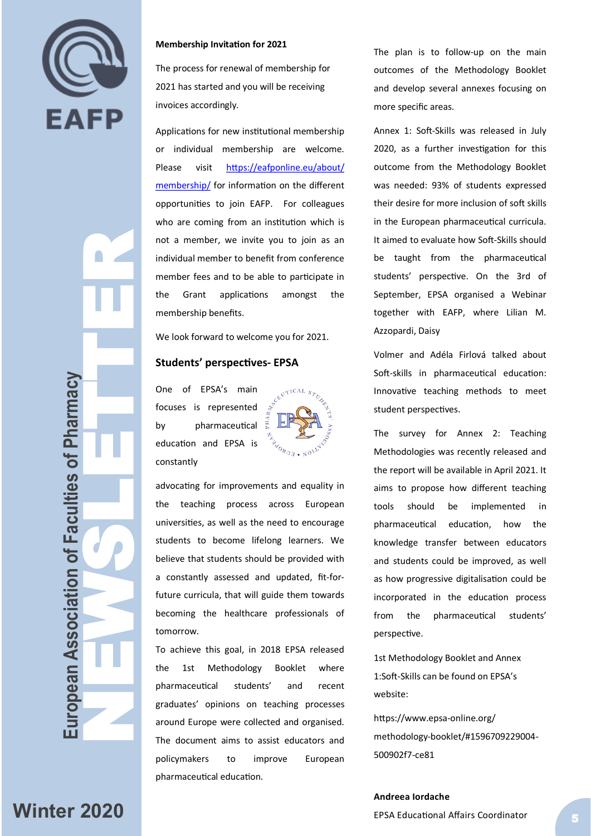

 $\blacksquare$ 

#### **Membership Invitation for 2021**

The process for renewal of membership for 2021 has started and you will be receiving invoices accordingly.

Applications for new institutional membership or individual membership are welcome. Please visit [https://eafponline.eu/about/](https://eafponline.eu/about/membership/) [membership/](https://eafponline.eu/about/membership/) for information on the different opportunities to join EAFP. For colleagues who are coming from an institution which is not a member, we invite you to join as an individual member to benefit from conference member fees and to be able to participate in the Grant applications amongst the membership benefits.

We look forward to welcome you for 2021.

#### **Students' perspectives - EPSA**

One of EPSA 's main focuses is represented by pharmaceutical  $\vec{a}$ education and EPSA is constantly



advocating for improvements and equality in the teaching process across European universities, as well as the need to encourage students to become lifelong learners. We believe that students should be provided with a constantly assessed and updated, fit -for future curricula, that will guide them towards becoming the healthcare professionals of tomorrow.

To achieve this goal, in 2018 EPSA released the 1st Methodology Booklet where pharmaceutical students' and recent graduates' opinions on teaching processes around Europe were collected and organised. The document aims to assist educators and policymakers to improve European pharmaceutical education.

The plan is to follow -up on the main outcomes of the Methodology Booklet and develop several annexes focusing on more specific areas.

Annex 1: Soft -Skills was released in July 2020, as a further investigation for this outcome from the Methodology Booklet was needed: 93% of students expressed their desire for more inclusion of soft skills in the European pharmaceutical curricula. It aimed to evaluate how Soft -Skills should be taught from the pharmaceutical students' perspective. On the 3rd of September, EPSA organised a Webinar together with EAFP, where Lilian M. Azzopardi, Daisy

Volmer and Adéla Firlová talked about Soft -skills in pharmaceutical education: Innovative teaching methods to meet student perspectives.

The survey for Annex 2: Teaching Methodologies was recently released and the report will be available in April 2021. It aims to propose how different teaching tools should be implemented in pharmaceutical education, how the knowledge transfer between educators and students could be improved, as well as how progressive digitalisation could be incorporated in the education process from the pharmaceutical students' perspective.

1st Methodology Booklet and Annex 1:Soft -Skills can be found on EPSA 's website:

https://www.epsa -online.org/ methodology -booklet/#1596709229004 - 500902f7 -ce81

**European Association of Faculties of Pharmacy NEWSLETTER (NEWSLETTER SCRIPTIONS)** 

uropean Association of Faculties of Pharmacy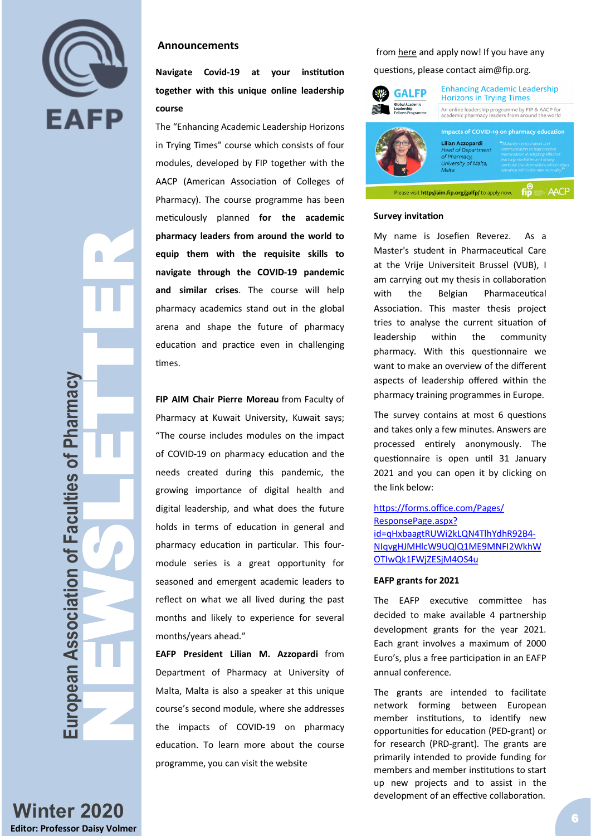

 $\bullet$ 

### **Announcements**

**Navigate Covid -19 at your institution together with this unique online leadership course** 

The "Enhancing Academic Leadership Horizons in Trying Times " course which consists of four modules, developed by FIP together with the AACP (American Association of Colleges of Pharmacy). The course programme has been meticulously planned **for the academic pharmacy leaders from around the world to equip them with the requisite skills to navigate through the COVID -19 pandemic and similar crises** . The course will help pharmacy academics stand out in the global arena and shape the future of pharmacy education and practice even in challenging times.

**FIP AIM Chair Pierre Moreau** from Faculty of Pharmacy at Kuwait University, Kuwait says; "The course includes modules on the impact of COVID -19 on pharmacy education and the needs created during this pandemic, the growing importance of digital health and digital leadership, and what does the future holds in terms of education in general and pharmacy education in particular. This four module series is a great opportunity for seasoned and emergent academic leaders to reflect on what we all lived during the past months and likely to experience for several months/years ahead. "

**EAFP President Lilian M. Azzopardi** from Department of Pharmacy at University of Malta, Malta is also a speaker at this unique course 's second module, where she addresses the impacts of COVID -19 on pharmacy education. To learn more about the course programme, you can visit the website

#### from [here](https://www.fip.org/global-academic-leadership-fellows-programme) and apply now! If you have any

questions, please contact aim@fip.org.

| <b>GALFP</b><br><b>Global Academic</b><br>Leadership<br><b>Fellows Programme</b> | <b>Enhancing Academic Leadership</b><br><b>Horizons in Trying Times</b>                             |                                                                                                                                                                                                                                                                                     |
|----------------------------------------------------------------------------------|-----------------------------------------------------------------------------------------------------|-------------------------------------------------------------------------------------------------------------------------------------------------------------------------------------------------------------------------------------------------------------------------------------|
|                                                                                  | An online leadership programme by FIP & AACP for<br>academic pharmacy leaders from around the world |                                                                                                                                                                                                                                                                                     |
|                                                                                  | Lilian Azzopardi<br><b>Head of Department</b><br>of Pharmacy.<br>University of Malta,<br>Malta      | Impacts of COVID-19 on pharmacy education<br>"Maximize on teamwork and<br>communication to lead creative<br>improvisation in adapting effective<br>teaching modalities and driving<br>curricular transformations which reflect<br>relevance within the new normality. <sup>32</sup> |
| Please visit http://aim.fip.org/galfp/ to apply now.                             |                                                                                                     |                                                                                                                                                                                                                                                                                     |

#### **Survey invitation**

My name is Josefien Reverez. As a Master's student in Pharmaceutical Care at the Vrije Universiteit Brussel (VUB), I am carrying out my thesis in collaboration with the Belgian Pharmaceutical Association. This master thesis project tries to analyse the current situation of leadership within the community pharmacy. With this questionnaire we want to make an overview of the different aspects of leadership offered within the pharmacy training programmes in Europe.

The survey contains at most 6 questions and takes only a few minutes. Answers are processed entirely anonymously. The questionnaire is open until 31 January 2021 and you can open it by clicking on the link below:

### [https://forms.office.com/Pages/](https://forms.office.com/Pages/ResponsePage.aspx?id=qHxbaagtRUWi2kLQN4TlhYdhR92B4-NIqvgHJMHlcW9UQlQ1ME9MNFI2WkhWOTIwQk1FWjZESjM4OS4u) [ResponsePage.aspx?](https://forms.office.com/Pages/ResponsePage.aspx?id=qHxbaagtRUWi2kLQN4TlhYdhR92B4-NIqvgHJMHlcW9UQlQ1ME9MNFI2WkhWOTIwQk1FWjZESjM4OS4u) [id=qHxbaagtRUWi2kLQN4TlhYdhR92B4](https://forms.office.com/Pages/ResponsePage.aspx?id=qHxbaagtRUWi2kLQN4TlhYdhR92B4-NIqvgHJMHlcW9UQlQ1ME9MNFI2WkhWOTIwQk1FWjZESjM4OS4u) - [NIqvgHJMHlcW9UQlQ1ME9MNFI2WkhW](https://forms.office.com/Pages/ResponsePage.aspx?id=qHxbaagtRUWi2kLQN4TlhYdhR92B4-NIqvgHJMHlcW9UQlQ1ME9MNFI2WkhWOTIwQk1FWjZESjM4OS4u) [OTIwQk1FWjZESjM4OS4u](https://forms.office.com/Pages/ResponsePage.aspx?id=qHxbaagtRUWi2kLQN4TlhYdhR92B4-NIqvgHJMHlcW9UQlQ1ME9MNFI2WkhWOTIwQk1FWjZESjM4OS4u)

#### **EAFP grants for 2021**

The EAFP executive committee has decided to make available 4 partnership development grants for the year 2021. Each grant involves a maximum of 2000 Euro 's, plus a free participation in an EAFP annual conference.

The grants are intended to facilitate network forming between European member institutions, to identify new opportunities for education (PED -grant) or for research (PRD -grant). The grants are primarily intended to provide funding for members and member institutions to start up new projects and to assist in the development of an effective collaboration.

**Winter 2020 Editor: Professor Daisy Volmer**

**European Association of Faculties of Pharmacy NEWSLETTER (NEWSLETTER SCRIPTIONS)** 

European Association of Faculties of Pharmacy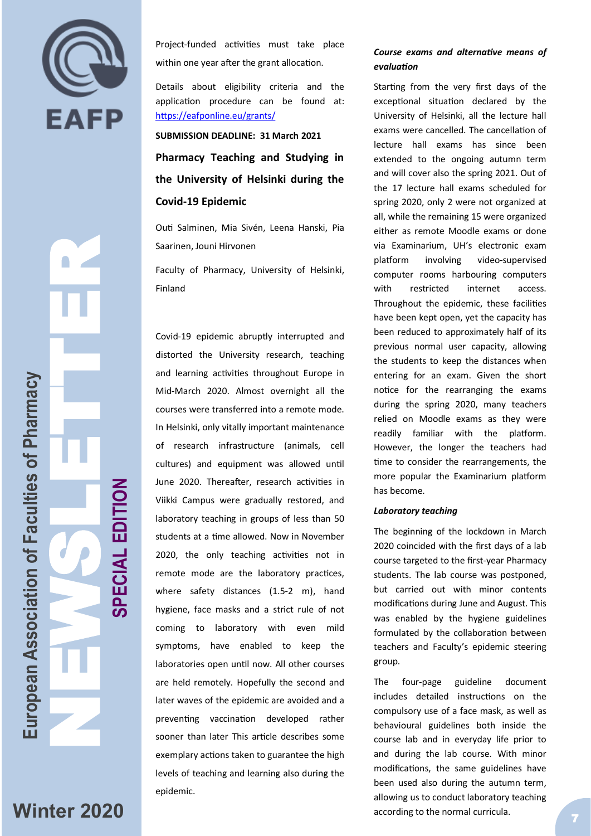

Z

Project -funded activities must take place within one year after the grant allocation.

Details about eligibility criteria and the application procedure can be found at: <https://eafponline.eu/grants/>

# **SUBMISSION DEADLINE: 31 March 2021 Pharmacy Teaching and Studying in the University of Helsinki during the Covid -19 Epidemic**

Outi Salminen, Mia Sivén, Leena Hanski, Pia Saarinen, Jouni Hirvonen

Faculty of Pharmacy, University of Helsinki, Finland

Covid -19 epidemic abruptly interrupted and distorted the University research, teaching and learning activities throughout Europe in Mid -March 2020. Almost overnight all the courses were transferred into a remote mode. In Helsinki, only vitally important maintenance of research infrastructure (animals, cell cultures) and equipment was allowed until June 2020. Thereafter, research activities in Viikki Campus were gradually restored, and laboratory teaching in groups of less than 50 students at a time allowed. Now in November 2020, the only teaching activities not in remote mode are the laboratory practices, where safety distances (1.5 -2 m), hand hygiene, face masks and a strict rule of not coming to laboratory with even mild symptoms, have enabled to keep the laboratories open until now. All other courses are held remotely. Hopefully the second and later waves of the epidemic are avoided and a preventing vaccination developed rather sooner than later This article describes some exemplary actions taken to guarantee the high levels of teaching and learning also during the epidemic.

## *Course exams and alternative means of evaluation*

Starting from the very first days of the exceptional situation declared by the University of Helsinki, all the lecture hall exams were cancelled. The cancellation of lecture hall exams has since been extended to the ongoing autumn term and will cover also the spring 2021. Out of the 17 lecture hall exams scheduled for spring 2020, only 2 were not organized at all, while the remaining 15 were organized either as remote Moodle exams or done via Examinarium, UH 's electronic exam platform involving video-supervised computer rooms harbouring computers with restricted internet access. Throughout the epidemic, these facilities have been kept open, yet the capacity has been reduced to approximately half of its previous normal user capacity, allowing the students to keep the distances when entering for an exam. Given the short notice for the rearranging the exams during the spring 2020, many teachers relied on Moodle exams as they were readily familiar with the platform. However, the longer the teachers had time to consider the rearrangements, the more popular the Examinarium platform has become.

#### *Laboratory teaching*

The beginning of the lockdown in March 2020 coincided with the first days of a lab course targeted to the first -year Pharmacy students. The lab course was postponed, but carried out with minor contents modifications during June and August. This was enabled by the hygiene guidelines formulated by the collaboration between teachers and Faculty 's epidemic steering group.

The four-page guideline document includes detailed instructions on the compulsory use of a face mask, as well as behavioural guidelines both inside the course lab and in everyday life prior to and during the lab course. With minor modifications, the same guidelines have been used also during the autumn term, allowing us to conduct laboratory teaching according to the normal curricula.

NEWSLETTER **SPECIAL EDITION**SPECIAL EDITION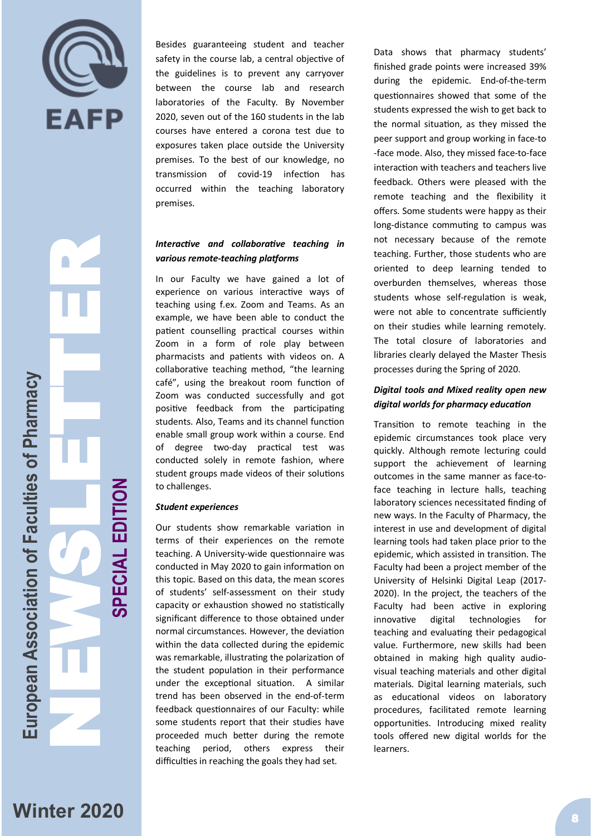

NEWSLETTER European Association of Faculties of Pharmacy **European Association of Faculties of Pharmacy**

**SPECIAL EDITION**

SPECIAL EDITION

Besides guaranteeing student and teacher safety in the course lab, a central objective of the guidelines is to prevent any carryover between the course lab and research laboratories of the Faculty. By November 2020, seven out of the 160 students in the lab courses have entered a corona test due to exposures taken place outside the University premises. To the best of our knowledge, no transmission of covid-19 infection has occurred within the teaching laboratory premises.

## *Interactive and collaborative teaching in various remote -teaching platforms*

In our Faculty we have gained a lot of experience on various interactive ways of teaching using f.ex. Zoom and Teams. As an example, we have been able to conduct the patient counselling practical courses within Zoom in a form of role play between pharmacists and patients with videos on. A collaborative teaching method, "the learning café", using the breakout room function of Zoom was conducted successfully and got positive feedback from the participating students. Also, Teams and its channel function enable small group work within a course. End of degree two -day practical test was conducted solely in remote fashion, where student groups made videos of their solutions to challenges.

#### *Student experiences*

Our students show remarkable variation in terms of their experiences on the remote teaching. A University -wide questionnaire was conducted in May 2020 to gain information on this topic. Based on this data, the mean scores of students' self -assessment on their study capacity or exhaustion showed no statistically significant difference to those obtained under normal circumstances. However, the deviation within the data collected during the epidemic was remarkable, illustrating the polarization of the student population in their performance under the exceptional situation. A similar trend has been observed in the end -of -term feedback questionnaires of our Faculty: while some students report that their studies have proceeded much better during the remote teaching period, others express their difficulties in reaching the goals they had set.

Data shows that pharmacy students' finished grade points were increased 39% during the epidemic. End-of-the-term questionnaires showed that some of the students expressed the wish to get back to the normal situation, as they missed the peer support and group working in face -to -face mode. Also, they missed face -to -face interaction with teachers and teachers live feedback. Others were pleased with the remote teaching and the flexibility it offers. Some students were happy as their long -distance commuting to campus was not necessary because of the remote teaching. Further, those students who are oriented to deep learning tended to overburden themselves, whereas those students whose self -regulation is weak, were not able to concentrate sufficiently on their studies while learning remotely. The total closure of laboratories and libraries clearly delayed the Master Thesis processes during the Spring of 2020.

## *Digital tools and Mixed reality open new digital worlds for pharmacy education*

Transition to remote teaching in the epidemic circumstances took place very quickly. Although remote lecturing could support the achievement of learning outcomes in the same manner as face -to face teaching in lecture halls, teaching laboratory sciences necessitated finding of new ways. In the Faculty of Pharmacy, the interest in use and development of digital learning tools had taken place prior to the epidemic, which assisted in transition. The Faculty had been a project member of the University of Helsinki Digital Leap (2017 - 2020). In the project, the teachers of the Faculty had been active in exploring innovative digital technologies for teaching and evaluating their pedagogical value. Furthermore, new skills had been obtained in making high quality audio visual teaching materials and other digital materials. Digital learning materials, such as educational videos on laboratory procedures, facilitated remote learning opportunities. Introducing mixed reality tools offered new digital worlds for the learners.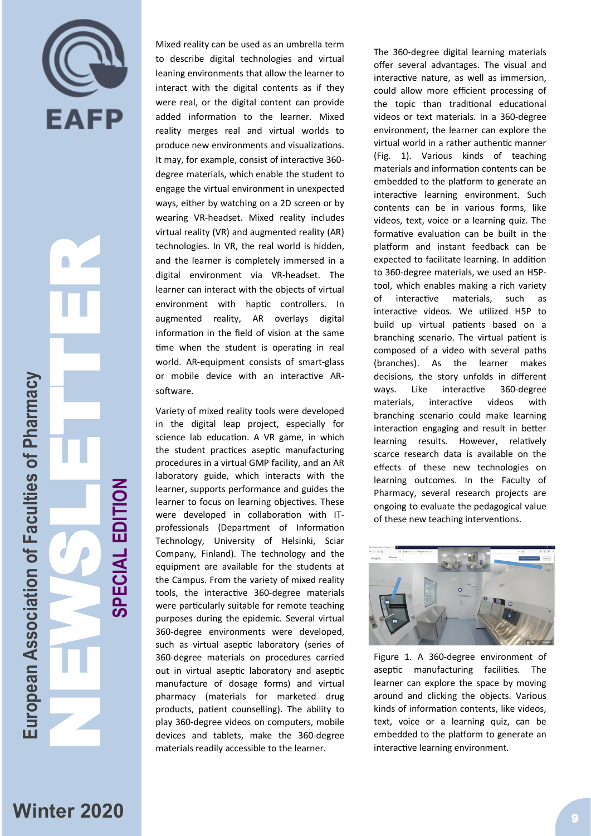

NEWSLETTER European Association of Faculties of Pharmacy **European Association of Faculties of Pharmacy**

**SPECIAL EDITION**

SPECIAL EDITION

Mixed reality can be used as an umbrella term to describe digital technologies and virtual leaning environments that allow the learner to interact with the digital contents as if they were real, or the digital content can provide added information to the learner. Mixed reality merges real and virtual worlds to produce new environments and visualizations. It may, for example, consist of interactive 360 degree materials, which enable the student to engage the virtual environment in unexpected ways, either by watching on a 2D screen or by wearing VR -headset. Mixed reality includes virtual reality (VR) and augmented reality (AR) technologies. In VR, the real world is hidden, and the learner is completely immersed in a digital environment via VR -headset. The learner can interact with the objects of virtual environment with haptic controllers. In augmented reality, AR overlays digital information in the field of vision at the same time when the student is operating in real world. AR -equipment consists of smart -glass or mobile device with an interactive AR software.

Variety of mixed reality tools were developed in the digital leap project, especially for science lab education. A VR game, in which the student practices aseptic manufacturing procedures in a virtual GMP facility, and an AR laboratory guide, which interacts with the learner, supports performance and guides the learner to focus on learning objectives. These were developed in collaboration with IT professionals (Department of Information Technology, University of Helsinki, Sciar Company, Finland). The technology and the equipment are available for the students at the Campus. From the variety of mixed reality tools, the interactive 360 -degree materials were particularly suitable for remote teaching purposes during the epidemic. Several virtual 360 -degree environments were developed, such as virtual aseptic laboratory (series of 360 -degree materials on procedures carried out in virtual aseptic laboratory and aseptic manufacture of dosage forms) and virtual pharmacy (materials for marketed drug products, patient counselling). The ability to play 360 -degree videos on computers, mobile devices and tablets, make the 360 -degree materials readily accessible to the learner.

The 360 -degree digital learning materials offer several advantages. The visual and interactive nature, as well as immersion, could allow more efficient processing of the topic than traditional educational videos or text materials. In a 360 -degree environment, the learner can explore the virtual world in a rather authentic manner (Fig. 1). Various kinds of teaching materials and information contents can be embedded to the platform to generate an interactive learning environment. Such contents can be in various forms, like videos, text, voice or a learning quiz. The formative evaluation can be built in the platform and instant feedback can be expected to facilitate learning. In addition to 360 -degree materials, we used an H5P tool, which enables making a rich variety of interactive materials, such as interactive videos. We utilized H5P to build up virtual patients based on a branching scenario. The virtual patient is composed of a video with several paths (branches). As the learner makes decisions, the story unfolds in different ways. Like interactive 360-degree materials, interactive videos with branching scenario could make learning interaction engaging and result in better learning results. However, relatively scarce research data is available on the effects of these new technologies on learning outcomes. In the Faculty of Pharmacy, several research projects are ongoing to evaluate the pedagogical value of these new teaching interventions.



Figure 1. A 360 -degree environment of aseptic manufacturing facilities. The learner can explore the space by moving around and clicking the objects. Various kinds of information contents, like videos, text, voice or a learning quiz, can be embedded to the platform to generate an interactive learning environment.